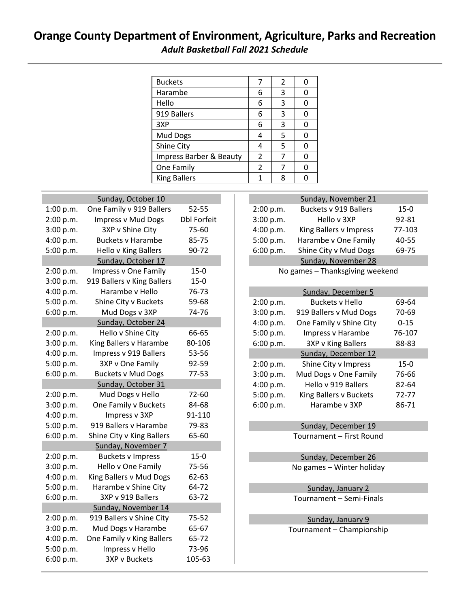## **Orange County Department of Environment, Agriculture, Parks and Recreation** *Adult Basketball Fall 2021 Schedule*

| <b>Buckets</b>                     |   | 2 |  |
|------------------------------------|---|---|--|
| Harambe                            | 6 | 3 |  |
| Hello                              | 6 | 3 |  |
| 919 Ballers                        | 6 | 3 |  |
| 3XP                                | 6 | 3 |  |
| Mud Dogs                           |   | 5 |  |
| Shine City                         |   | 5 |  |
| <b>Impress Barber &amp; Beauty</b> | 2 |   |  |
| One Family                         | 2 |   |  |
| <b>King Ballers</b>                |   |   |  |

I

I

| Sunday, October 10     |                                   |                    |  |  |
|------------------------|-----------------------------------|--------------------|--|--|
| 1:00 p.m.              | One Family v 919 Ballers<br>52-55 |                    |  |  |
| 2:00 p.m.              | <b>Impress v Mud Dogs</b>         | <b>Dbl Forfeit</b> |  |  |
| 3:00 p.m.              | 3XP v Shine City                  | 75-60              |  |  |
| 4:00 p.m.              | <b>Buckets v Harambe</b>          | 85-75              |  |  |
| 5:00 p.m.              | Hello v King Ballers              | 90-72              |  |  |
|                        | Sunday, October 17                |                    |  |  |
| 2:00 p.m.              | <b>Impress v One Family</b>       | $15 - 0$           |  |  |
| 3:00 p.m.              | 919 Ballers v King Ballers        | $15-0$             |  |  |
| 4:00 p.m.              | Harambe v Hello                   | 76-73              |  |  |
| 5:00 p.m.              | Shine City v Buckets              | 59-68              |  |  |
| 6:00 p.m.              | Mud Dogs v 3XP                    | 74-76              |  |  |
| Sunday, October 24     |                                   |                    |  |  |
| 2:00 p.m.              | Hello v Shine City                | 66-65              |  |  |
| 3:00 p.m.              | King Ballers v Harambe            | 80-106             |  |  |
| 4:00 p.m.              | Impress v 919 Ballers             | 53-56              |  |  |
| 5:00 p.m.              | 3XP v One Family                  | 92-59              |  |  |
| 6:00 p.m.              | <b>Buckets v Mud Dogs</b>         | 77-53              |  |  |
|                        | Sunday, October 31                |                    |  |  |
| 2:00 p.m.              | Mud Dogs v Hello                  | 72-60              |  |  |
| 3:00 p.m.              | One Family v Buckets              | 84-68              |  |  |
| 4:00 p.m.              | Impress v 3XP                     | 91-110             |  |  |
| 5:00 p.m.              | 919 Ballers v Harambe             | 79-83              |  |  |
| 6:00 p.m.              | Shine City v King Ballers         | 65-60              |  |  |
|                        | Sunday, November 7                |                    |  |  |
| 2:00 p.m.              | <b>Buckets v Impress</b>          | $15-0$             |  |  |
| 3:00 p.m.              | Hello v One Family                | 75-56              |  |  |
| 4:00 p.m.              | King Ballers v Mud Dogs           | 62-63              |  |  |
| 5:00 p.m.              | Harambe v Shine City              | 64-72              |  |  |
| 6:00 p.m.              | 3XP v 919 Ballers                 | 63-72              |  |  |
| Sunday, November 14    |                                   |                    |  |  |
| 2:00 p.m.              | 919 Ballers v Shine City          | $75 - 52$          |  |  |
| 3:00 p.m.              | Mud Dogs v Harambe                | 65-67              |  |  |
|                        |                                   |                    |  |  |
| 4:00 p.m.              | One Family v King Ballers         | 65-72              |  |  |
| 5:00 p.m.<br>6:00 p.m. | Impress v Hello<br>3XP v Buckets  | 73-96<br>105-63    |  |  |

|           | Sunday, November 21          |        |
|-----------|------------------------------|--------|
| 2:00 p.m. | <b>Buckets v 919 Ballers</b> | $15-0$ |
| 3:00 p.m. | Hello v 3XP                  | 92-81  |
| 4:00 p.m. | King Ballers v Impress       | 77-103 |
| 5:00 p.m. | Harambe v One Family         | 40-55  |
| 6:00 p.m. | Shine City v Mud Dogs        | 69-75  |
|           | Sunday, November 28          |        |

No games – Thanksgiving weekend

| Sunday, December 5 |                           |          |  |  |
|--------------------|---------------------------|----------|--|--|
| 2:00 p.m.          | <b>Buckets v Hello</b>    | 69-64    |  |  |
| 3:00 p.m.          | 919 Ballers v Mud Dogs    | 70-69    |  |  |
| 4:00 p.m.          | One Family v Shine City   | $0 - 15$ |  |  |
| 5:00 p.m.          | Impress v Harambe         | 76-107   |  |  |
| 6:00 p.m.          | <b>3XP v King Ballers</b> | 88-83    |  |  |
|                    | Sunday, December 12       |          |  |  |
| 2:00 p.m.          | Shine City v Impress      | $15 - 0$ |  |  |
| 3:00 p.m.          | Mud Dogs v One Family     | 76-66    |  |  |
| 4:00 p.m.          | Hello v 919 Ballers       | 82-64    |  |  |
| 5:00 p.m.          | King Ballers v Buckets    | 72-77    |  |  |
| 6:00 p.m.          | Harambe v 3XP             | 86-71    |  |  |

Sunday, December 19 Tournament – First Round

Sunday, December 26 No games – Winter holiday

Sunday, January 2 Tournament – Semi-Finals

Sunday, January 9 Tournament – Championship